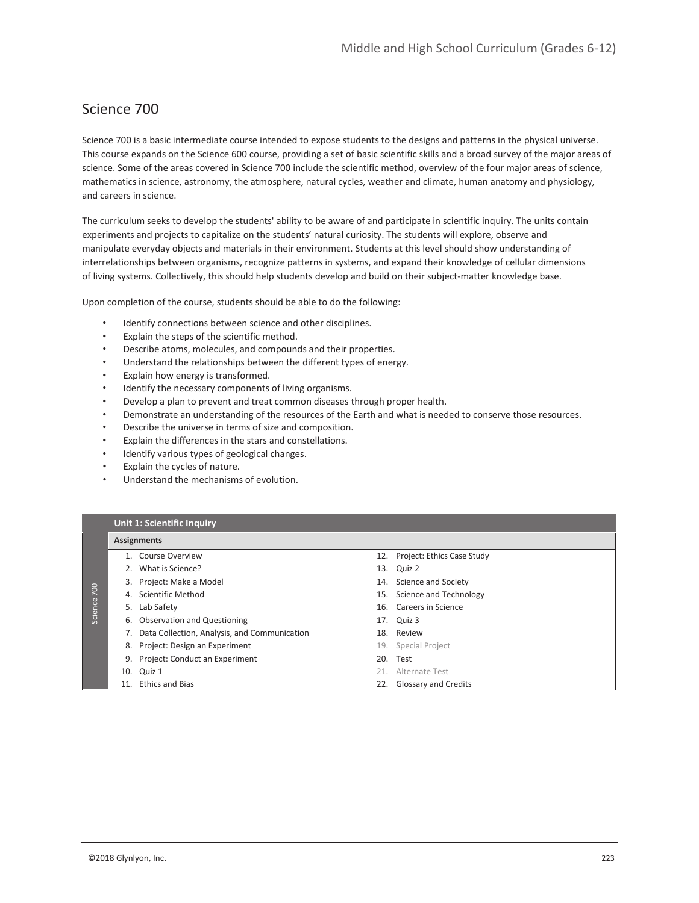## Science 700

Science 700 is a basic intermediate course intended to expose students to the designs and patterns in the physical universe. This course expands on the Science 600 course, providing a set of basic scientific skills and a broad survey of the major areas of science. Some of the areas covered in Science 700 include the scientific method, overview of the four major areas of science, mathematics in science, astronomy, the atmosphere, natural cycles, weather and climate, human anatomy and physiology, and careers in science.

The curriculum seeks to develop the students' ability to be aware of and participate in scientific inquiry. The units contain experiments and projects to capitalize on the students' natural curiosity. The students will explore, observe and manipulate everyday objects and materials in their environment. Students at this level should show understanding of interrelationships between organisms, recognize patterns in systems, and expand their knowledge of cellular dimensions of living systems. Collectively, this should help students develop and build on their subject-matter knowledge base.

Upon completion of the course, students should be able to do the following:

- Identify connections between science and other disciplines.
- Explain the steps of the scientific method.
- Describe atoms, molecules, and compounds and their properties.
- Understand the relationships between the different types of energy.
- Explain how energy is transformed.
- Identify the necessary components of living organisms.
- Develop a plan to prevent and treat common diseases through proper health.
- Demonstrate an understanding of the resources of the Earth and what is needed to conserve those resources.
- Describe the universe in terms of size and composition.
- Explain the differences in the stars and constellations.
- Identify various types of geological changes.
- Explain the cycles of nature.
- Understand the mechanisms of evolution.

|         | <b>Unit 1: Scientific Inquiry</b> |                                              |  |                                |  |  |  |
|---------|-----------------------------------|----------------------------------------------|--|--------------------------------|--|--|--|
|         | <b>Assignments</b>                |                                              |  |                                |  |  |  |
|         |                                   | Course Overview                              |  | 12. Project: Ethics Case Study |  |  |  |
|         |                                   | What is Science?                             |  | 13. Quiz 2                     |  |  |  |
|         | 3.                                | Project: Make a Model                        |  | 14. Science and Society        |  |  |  |
| 700     | 4.                                | Scientific Method                            |  | 15. Science and Technology     |  |  |  |
| Science |                                   | 5. Lab Safety                                |  | 16. Careers in Science         |  |  |  |
|         |                                   | 6. Observation and Questioning               |  | 17. Quiz 3                     |  |  |  |
|         |                                   | Data Collection, Analysis, and Communication |  | 18. Review                     |  |  |  |
|         | 8.                                | Project: Design an Experiment                |  | 19. Special Project            |  |  |  |
|         | 9.                                | Project: Conduct an Experiment               |  | 20. Test                       |  |  |  |
|         | 10.                               | Quiz 1                                       |  | 21. Alternate Test             |  |  |  |
|         | 11.                               | <b>Ethics and Bias</b>                       |  | 22. Glossary and Credits       |  |  |  |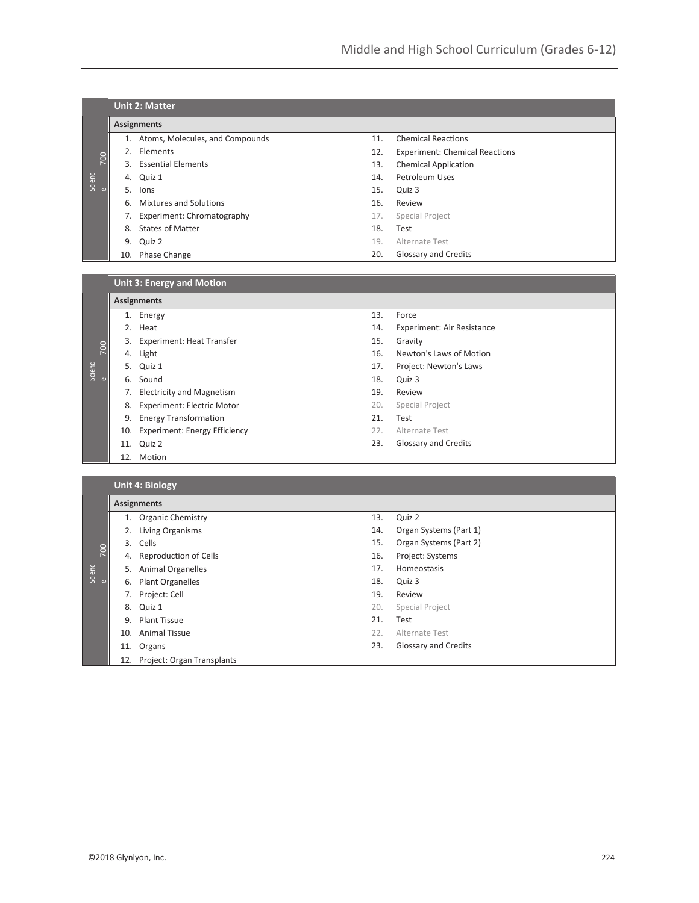|             |     | <b>Unit 2: Matter</b>           |     |                                       |  |  |  |  |
|-------------|-----|---------------------------------|-----|---------------------------------------|--|--|--|--|
|             |     | <b>Assignments</b>              |     |                                       |  |  |  |  |
|             | 1.  | Atoms, Molecules, and Compounds | 11. | <b>Chemical Reactions</b>             |  |  |  |  |
| 700         | 2.  | Elements                        | 12. | <b>Experiment: Chemical Reactions</b> |  |  |  |  |
|             | 3.  | <b>Essential Elements</b>       | 13. | <b>Chemical Application</b>           |  |  |  |  |
| Scienc<br>e | 4.  | Quiz 1                          | 14. | Petroleum Uses                        |  |  |  |  |
|             | 5.  | lons                            | 15. | Quiz 3                                |  |  |  |  |
|             | 6.  | Mixtures and Solutions          | 16. | Review                                |  |  |  |  |
|             | 7.  | Experiment: Chromatography      | 17. | Special Project                       |  |  |  |  |
|             | 8.  | <b>States of Matter</b>         | 18. | Test                                  |  |  |  |  |
|             | 9.  | Quiz 2                          | 19. | Alternate Test                        |  |  |  |  |
|             | 10. | Phase Change                    | 20. | Glossary and Credits                  |  |  |  |  |

**Unit 3: Energy and Motion**

|               |     | <b>Assignments</b>                   |     |                                   |
|---------------|-----|--------------------------------------|-----|-----------------------------------|
|               |     | 1. Energy                            | 13. | Force                             |
|               |     | 2. Heat                              | 14. | <b>Experiment: Air Resistance</b> |
|               |     | 3. Experiment: Heat Transfer         | 15. | Gravity                           |
| 700           |     | 4. Light                             | 16. | Newton's Laws of Motion           |
| $\frac{1}{2}$ |     | 5. Quiz 1                            | 17. | Project: Newton's Laws            |
|               | 6.  | Sound                                | 18. | Quiz 3                            |
|               | 7.  | <b>Electricity and Magnetism</b>     | 19. | Review                            |
|               | 8.  | <b>Experiment: Electric Motor</b>    | 20. | Special Project                   |
|               | 9.  | <b>Energy Transformation</b>         | 21. | Test                              |
|               | 10. | <b>Experiment: Energy Efficiency</b> | 22. | Alternate Test                    |
|               |     | 11. Quiz 2                           | 23. | <b>Glossary and Credits</b>       |
|               |     | 12. Motion                           |     |                                   |

**Unit 4: Biology**

|          | ___                |                                |     |                             |  |  |  |
|----------|--------------------|--------------------------------|-----|-----------------------------|--|--|--|
|          | <b>Assignments</b> |                                |     |                             |  |  |  |
|          | 1.                 | <b>Organic Chemistry</b>       | 13. | Quiz 2                      |  |  |  |
|          | 2.                 | Living Organisms               | 14. | Organ Systems (Part 1)      |  |  |  |
|          | 3.                 | Cells                          | 15. | Organ Systems (Part 2)      |  |  |  |
| 700      |                    | 4. Reproduction of Cells       | 16. | Project: Systems            |  |  |  |
| Scienc   | 5.                 | <b>Animal Organelles</b>       | 17. | Homeostasis                 |  |  |  |
| $\omega$ | 6.                 | Plant Organelles               | 18. | Quiz 3                      |  |  |  |
|          | 7.                 | Project: Cell                  | 19. | Review                      |  |  |  |
|          | 8.                 | Quiz 1                         | 20. | Special Project             |  |  |  |
|          | 9.                 | <b>Plant Tissue</b>            | 21. | Test                        |  |  |  |
|          | 10.                | Animal Tissue                  | 22. | Alternate Test              |  |  |  |
|          | 11.                | Organs                         | 23. | <b>Glossary and Credits</b> |  |  |  |
|          |                    | 12. Project: Organ Transplants |     |                             |  |  |  |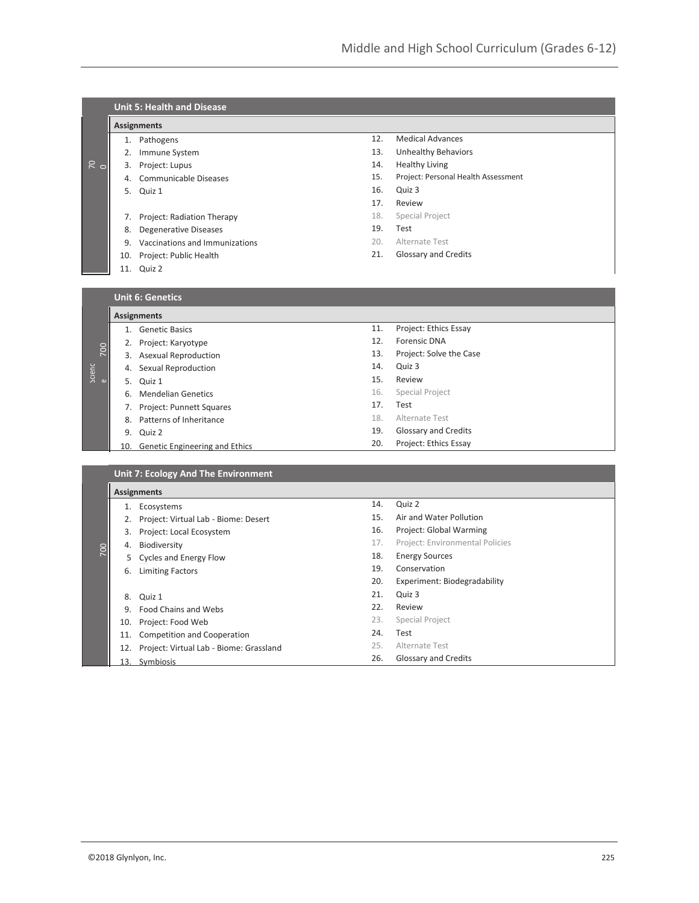|               | <b>Unit 5: Health and Disease</b>   |                                             |     |                                     |  |  |  |
|---------------|-------------------------------------|---------------------------------------------|-----|-------------------------------------|--|--|--|
|               | <b>Assignments</b>                  |                                             |     |                                     |  |  |  |
|               |                                     | 1. Pathogens                                | 12. | <b>Medical Advances</b>             |  |  |  |
|               |                                     | 2. Immune System                            | 13. | <b>Unhealthy Behaviors</b>          |  |  |  |
| $\frac{1}{6}$ |                                     | 3. Project: Lupus                           | 14. | <b>Healthy Living</b>               |  |  |  |
|               |                                     | 4. Communicable Diseases                    | 15. | Project: Personal Health Assessment |  |  |  |
|               |                                     | 5. Quiz 1                                   | 16. | Quiz 3                              |  |  |  |
|               |                                     |                                             | 17. | Review                              |  |  |  |
|               |                                     | 7. Project: Radiation Therapy               | 18. | Special Project                     |  |  |  |
|               |                                     | 8. Degenerative Diseases                    | 19. | Test                                |  |  |  |
|               |                                     | 9. Vaccinations and Immunizations           | 20. | Alternate Test                      |  |  |  |
|               |                                     | 10. Project: Public Health                  | 21. | Glossary and Credits                |  |  |  |
|               |                                     | 11. Quiz 2                                  |     |                                     |  |  |  |
|               |                                     |                                             |     |                                     |  |  |  |
|               |                                     | <b>Unit 6: Genetics</b>                     |     |                                     |  |  |  |
|               |                                     | <b>Assignments</b>                          |     |                                     |  |  |  |
|               |                                     | 1. Genetic Basics                           | 11. | Project: Ethics Essay               |  |  |  |
| <b>POC</b>    |                                     | 2. Project: Karyotype                       | 12. | Forensic DNA                        |  |  |  |
|               |                                     | 3. Asexual Reproduction                     | 13. | Project: Solve the Case             |  |  |  |
| Scienc<br>e   |                                     | 4. Sexual Reproduction                      | 14. | Quiz 3                              |  |  |  |
|               |                                     | 5. Quiz 1                                   | 15. | Review                              |  |  |  |
|               |                                     | 6. Mendelian Genetics                       | 16. | Special Project                     |  |  |  |
|               |                                     | 7. Project: Punnett Squares                 | 17. | Test                                |  |  |  |
|               |                                     | 8. Patterns of Inheritance                  | 18. | Alternate Test                      |  |  |  |
|               |                                     | 9. Quiz 2                                   | 19. | Glossary and Credits                |  |  |  |
|               |                                     | 10. Genetic Engineering and Ethics          | 20. | Project: Ethics Essay               |  |  |  |
|               | Unit 7: Ecology And The Environment |                                             |     |                                     |  |  |  |
|               |                                     |                                             |     |                                     |  |  |  |
|               |                                     | <b>Assignments</b><br>1. Ecosystems         | 14. | Quiz 2                              |  |  |  |
|               |                                     | 2. Project: Virtual Lab - Biome: Desert     | 15. | Air and Water Pollution             |  |  |  |
|               |                                     | 3. Project: Local Ecosystem                 | 16. | Project: Global Warming             |  |  |  |
|               |                                     | 4. Biodiversity                             | 17. | Project: Environmental Policies     |  |  |  |
| 200           |                                     | 5 Cycles and Energy Flow                    | 18. | <b>Energy Sources</b>               |  |  |  |
|               |                                     | 6. Limiting Factors                         | 19. | Conservation                        |  |  |  |
|               |                                     |                                             | 20. | Experiment: Biodegradability        |  |  |  |
|               |                                     | 8. Quiz 1                                   | 21. | Quiz 3                              |  |  |  |
|               |                                     | 9. Food Chains and Webs                     | 22. | Review                              |  |  |  |
|               |                                     | 10. Project: Food Web                       | 23. | Special Project                     |  |  |  |
|               |                                     | 11. Competition and Cooperation             | 24. | Test                                |  |  |  |
|               |                                     | 12. Project: Virtual Lab - Biome: Grassland | 25. | Alternate Test                      |  |  |  |
|               |                                     | 13. Symbiosis                               | 26. | Glossary and Credits                |  |  |  |